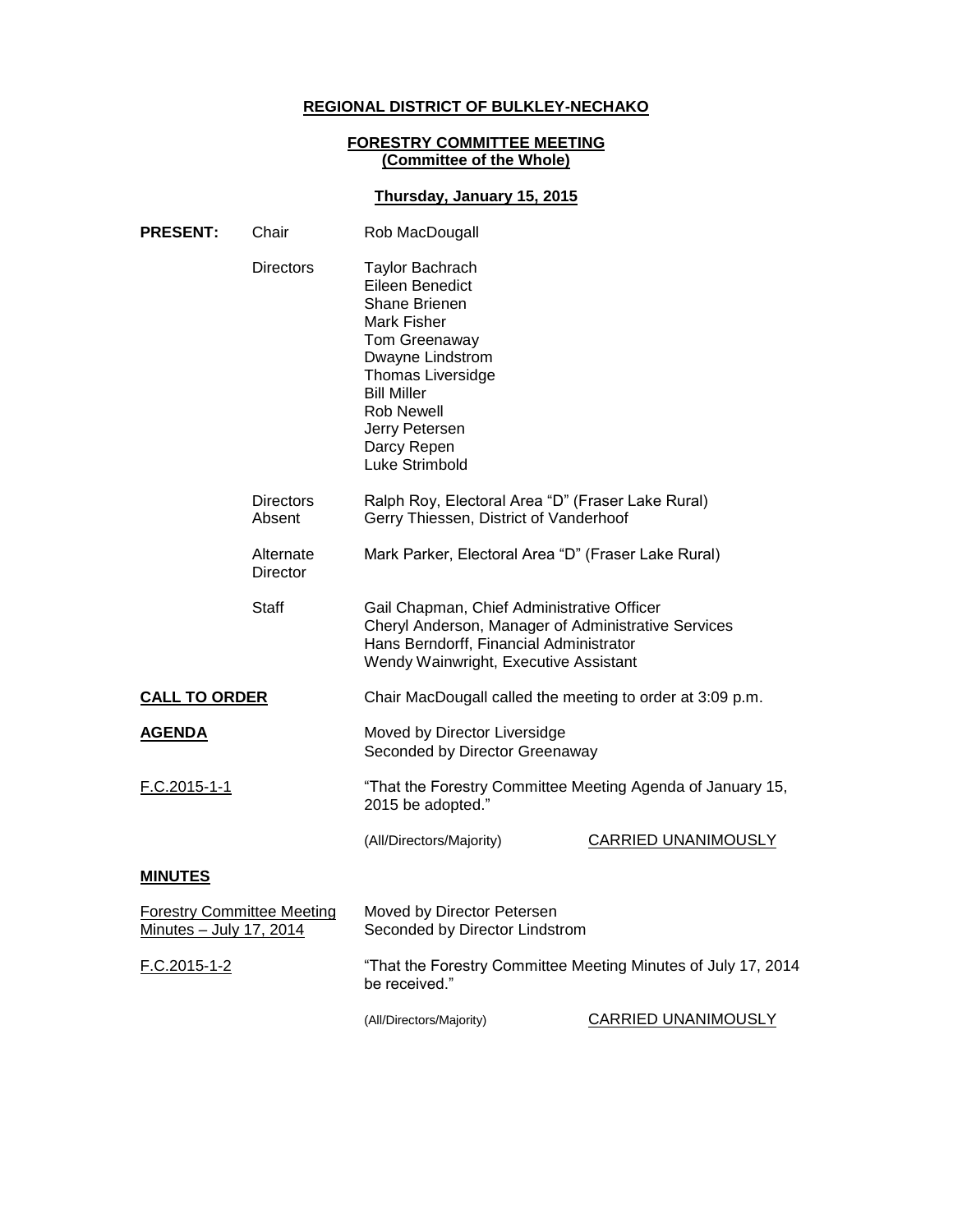# **REGIONAL DISTRICT OF BULKLEY-NECHAKO**

#### **FORESTRY COMMITTEE MEETING (Committee of the Whole)**

## **Thursday, January 15, 2015**

| <b>PRESENT:</b>                                              | Chair                      | Rob MacDougall                                                                                                                                                                                                                    |                            |
|--------------------------------------------------------------|----------------------------|-----------------------------------------------------------------------------------------------------------------------------------------------------------------------------------------------------------------------------------|----------------------------|
|                                                              | <b>Directors</b>           | <b>Taylor Bachrach</b><br>Eileen Benedict<br>Shane Brienen<br>Mark Fisher<br>Tom Greenaway<br>Dwayne Lindstrom<br>Thomas Liversidge<br><b>Bill Miller</b><br><b>Rob Newell</b><br>Jerry Petersen<br>Darcy Repen<br>Luke Strimbold |                            |
|                                                              | <b>Directors</b><br>Absent | Ralph Roy, Electoral Area "D" (Fraser Lake Rural)<br>Gerry Thiessen, District of Vanderhoof                                                                                                                                       |                            |
|                                                              | Alternate<br>Director      | Mark Parker, Electoral Area "D" (Fraser Lake Rural)                                                                                                                                                                               |                            |
|                                                              | Staff                      | Gail Chapman, Chief Administrative Officer<br>Cheryl Anderson, Manager of Administrative Services<br>Hans Berndorff, Financial Administrator<br>Wendy Wainwright, Executive Assistant                                             |                            |
| <b>CALL TO ORDER</b>                                         |                            | Chair MacDougall called the meeting to order at 3:09 p.m.                                                                                                                                                                         |                            |
| <b>AGENDA</b>                                                |                            | Moved by Director Liversidge<br>Seconded by Director Greenaway                                                                                                                                                                    |                            |
| F.C.2015-1-1                                                 |                            | "That the Forestry Committee Meeting Agenda of January 15,<br>2015 be adopted."                                                                                                                                                   |                            |
|                                                              |                            | (All/Directors/Majority)                                                                                                                                                                                                          | <b>CARRIED UNANIMOUSLY</b> |
| <b>MINUTES</b>                                               |                            |                                                                                                                                                                                                                                   |                            |
| <b>Forestry Committee Meeting</b><br>Minutes - July 17, 2014 |                            | Moved by Director Petersen<br>Seconded by Director Lindstrom                                                                                                                                                                      |                            |
| F.C.2015-1-2                                                 |                            | "That the Forestry Committee Meeting Minutes of July 17, 2014<br>be received."                                                                                                                                                    |                            |
|                                                              |                            | (All/Directors/Majority)                                                                                                                                                                                                          | CARRIED UNANIMOUSLY        |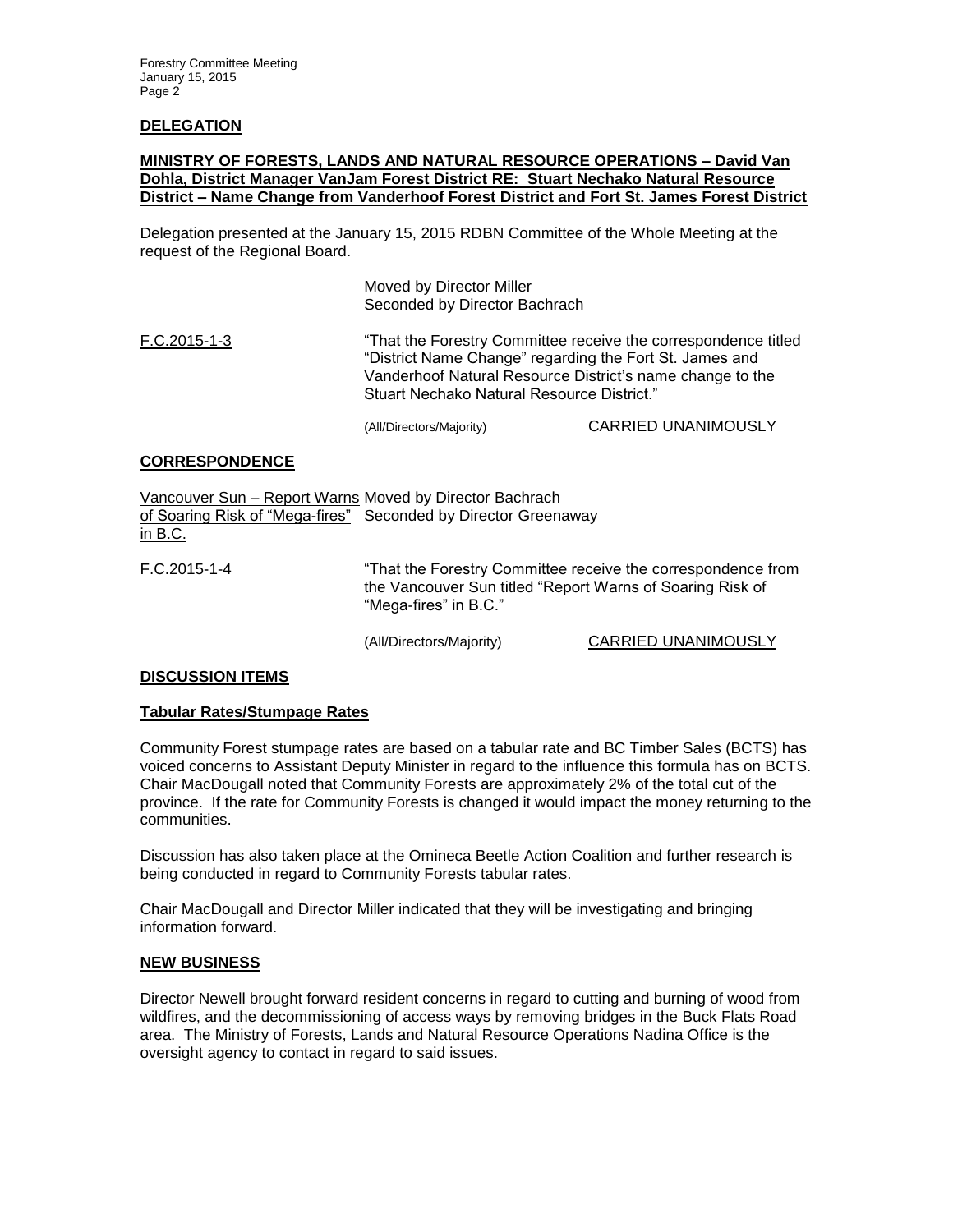### **DELEGATION**

### **MINISTRY OF FORESTS, LANDS AND NATURAL RESOURCE OPERATIONS – David Van Dohla, District Manager VanJam Forest District RE: Stuart Nechako Natural Resource District – Name Change from Vanderhoof Forest District and Fort St. James Forest District**

Delegation presented at the January 15, 2015 RDBN Committee of the Whole Meeting at the request of the Regional Board.

> Moved by Director Miller Seconded by Director Bachrach

F.C.2015-1-3 "That the Forestry Committee receive the correspondence titled "District Name Change" regarding the Fort St. James and Vanderhoof Natural Resource District's name change to the Stuart Nechako Natural Resource District."

(All/Directors/Majority) CARRIED UNANIMOUSLY

#### **CORRESPONDENCE**

Vancouver Sun – Report Warns Moved by Director Bachrach of Soaring Risk of "Mega-fires" Seconded by Director Greenaway in B.C. F.C.2015-1-4 "That the Forestry Committee receive the correspondence from the Vancouver Sun titled "Report Warns of Soaring Risk of "Mega-fires" in B.C."

(All/Directors/Majority) CARRIED UNANIMOUSLY

#### **DISCUSSION ITEMS**

#### **Tabular Rates/Stumpage Rates**

Community Forest stumpage rates are based on a tabular rate and BC Timber Sales (BCTS) has voiced concerns to Assistant Deputy Minister in regard to the influence this formula has on BCTS. Chair MacDougall noted that Community Forests are approximately 2% of the total cut of the province. If the rate for Community Forests is changed it would impact the money returning to the communities.

Discussion has also taken place at the Omineca Beetle Action Coalition and further research is being conducted in regard to Community Forests tabular rates.

Chair MacDougall and Director Miller indicated that they will be investigating and bringing information forward.

#### **NEW BUSINESS**

Director Newell brought forward resident concerns in regard to cutting and burning of wood from wildfires, and the decommissioning of access ways by removing bridges in the Buck Flats Road area. The Ministry of Forests, Lands and Natural Resource Operations Nadina Office is the oversight agency to contact in regard to said issues.